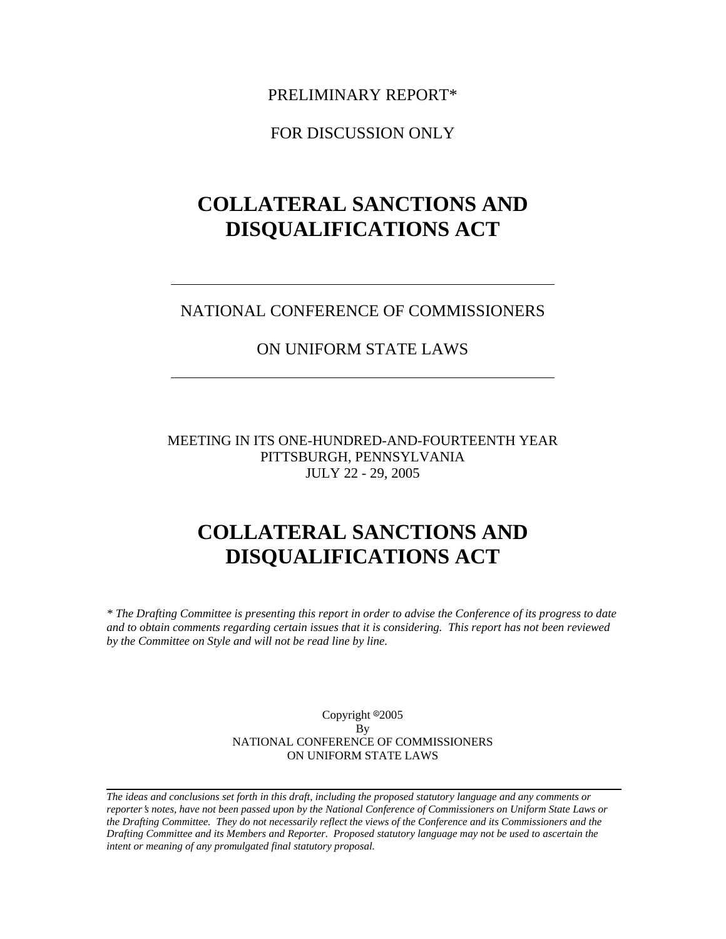PRELIMINARY REPORT\*

FOR DISCUSSION ONLY

# **COLLATERAL SANCTIONS AND DISQUALIFICATIONS ACT**

### NATIONAL CONFERENCE OF COMMISSIONERS

## ON UNIFORM STATE LAWS

MEETING IN ITS ONE-HUNDRED-AND-FOURTEENTH YEAR PITTSBURGH, PENNSYLVANIA JULY 22 - 29, 2005

## **COLLATERAL SANCTIONS AND DISQUALIFICATIONS ACT**

*\* The Drafting Committee is presenting this report in order to advise the Conference of its progress to date and to obtain comments regarding certain issues that it is considering. This report has not been reviewed by the Committee on Style and will not be read line by line.*

> Copyright <sup>@2005</sup> By NATIONAL CONFERENCE OF COMMISSIONERS ON UNIFORM STATE LAWS

*The ideas and conclusions set forth in this draft, including the proposed statutory language and any comments or reporter*=*s notes, have not been passed upon by the National Conference of Commissioners on Uniform State Laws or the Drafting Committee. They do not necessarily reflect the views of the Conference and its Commissioners and the Drafting Committee and its Members and Reporter. Proposed statutory language may not be used to ascertain the intent or meaning of any promulgated final statutory proposal.*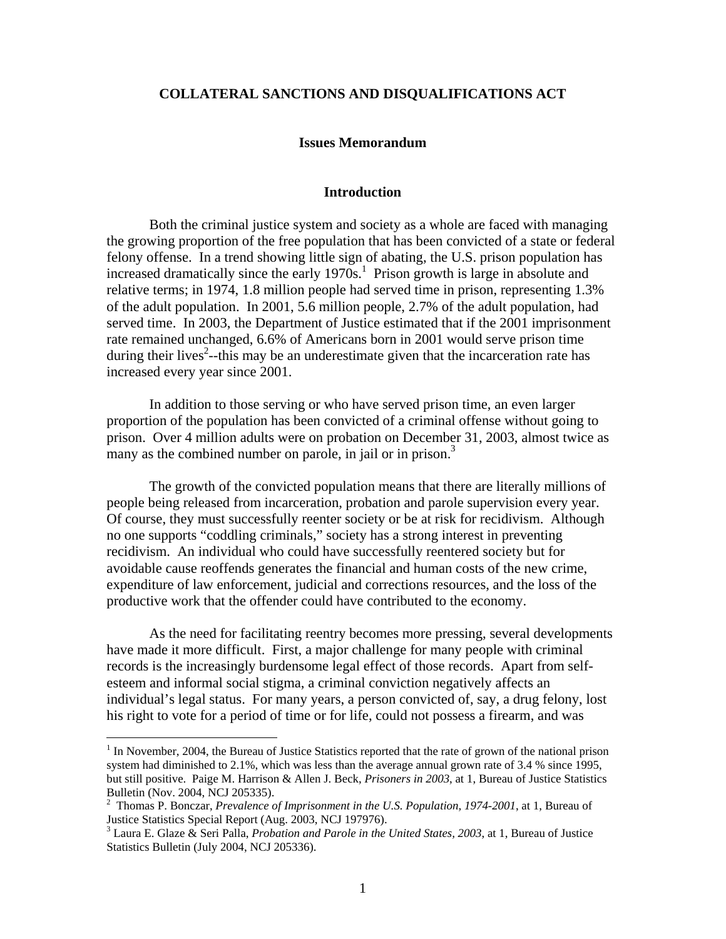#### **COLLATERAL SANCTIONS AND DISQUALIFICATIONS ACT**

#### **Issues Memorandum**

#### **Introduction**

Both the criminal justice system and society as a whole are faced with managing the growing proportion of the free population that has been convicted of a state or federal felony offense. In a trend showing little sign of abating, the U.S. prison population has increased dramatically since the early  $1970s<sup>1</sup>$  $1970s<sup>1</sup>$ . Prison growth is large in absolute and relative terms; in 1974, 1.8 million people had served time in prison, representing 1.3% of the adult population. In 2001, 5.6 million people, 2.7% of the adult population, had served time. In 2003, the Department of Justice estimated that if the 2001 imprisonment rate remained unchanged, 6.6% of Americans born in 2001 would serve prison time during their lives<sup>2</sup>--this may be an underestimate given that the incarceration rate has increased every year since 2001.

In addition to those serving or who have served prison time, an even larger proportion of the population has been convicted of a criminal offense without going to prison. Over 4 million adults were on probation on December 31, 2003, almost twice as many as the combined number on parole, in jail or in prison.<sup>3</sup>

The growth of the convicted population means that there are literally millions of people being released from incarceration, probation and parole supervision every year. Of course, they must successfully reenter society or be at risk for recidivism. Although no one supports "coddling criminals," society has a strong interest in preventing recidivism. An individual who could have successfully reentered society but for avoidable cause reoffends generates the financial and human costs of the new crime, expenditure of law enforcement, judicial and corrections resources, and the loss of the productive work that the offender could have contributed to the economy.

As the need for facilitating reentry becomes more pressing, several developments have made it more difficult. First, a major challenge for many people with criminal records is the increasingly burdensome legal effect of those records. Apart from selfesteem and informal social stigma, a criminal conviction negatively affects an individual's legal status. For many years, a person convicted of, say, a drug felony, lost his right to vote for a period of time or for life, could not possess a firearm, and was

<span id="page-1-0"></span><sup>&</sup>lt;sup>1</sup> In November, 2004, the Bureau of Justice Statistics reported that the rate of grown of the national prison system had diminished to 2.1%, which was less than the average annual grown rate of 3.4 % since 1995, but still positive. Paige M. Harrison & Allen J. Beck, *Prisoners in 2003*, at 1, Bureau of Justice Statistics Bulletin (Nov. 2004, NCJ 205335). 2

<span id="page-1-1"></span>Thomas P. Bonczar, *Prevalence of Imprisonment in the U.S. Population, 1974-2001*, at 1, Bureau of Justice Statistics Special Report (Aug. 2003, NCJ 197976). <sup>3</sup>

<span id="page-1-2"></span>Laura E. Glaze & Seri Palla, *Probation and Parole in the United States, 2003*, at 1, Bureau of Justice Statistics Bulletin (July 2004, NCJ 205336).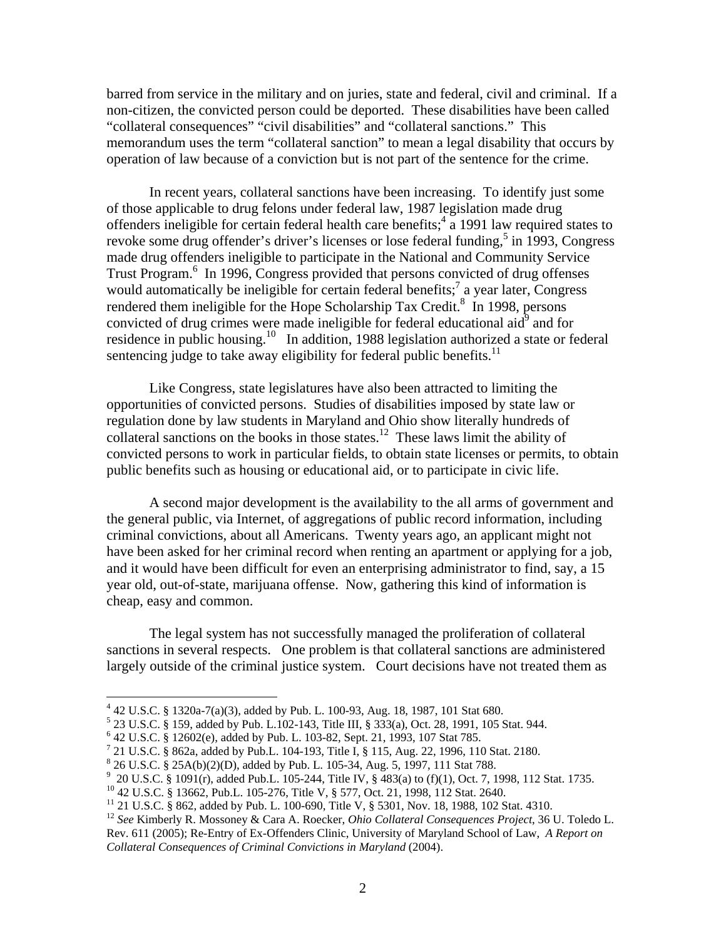barred from service in the military and on juries, state and federal, civil and criminal. If a non-citizen, the convicted person could be deported. These disabilities have been called "collateral consequences" "civil disabilities" and "collateral sanctions." This memorandum uses the term "collateral sanction" to mean a legal disability that occurs by operation of law because of a conviction but is not part of the sentence for the crime.

In recent years, collateral sanctions have been increasing. To identify just some of those applicable to drug felons under federal law, 1987 legislation made drug offenders ineligible for certain federal health care benefits;  $4 \overline{a}$  1991 law required states to revokesome drug offender's driver's licenses or lose federal funding,<sup>5</sup> in 1993, Congress made drug offenders ineligible to participate in the National and Community Service Trust Program.<sup>[6](#page-2-2)</sup> In 1996, Congress provided that persons convicted of drug offenses would automatically be ineligible for certain federal benefits; $^7$  $^7$  a year later, Congress rendered them ineligible for the Hope Scholarship Tax Credit.<sup>[8](#page-2-4)</sup> In 1998, persons convicted of drug crimes were made ineligible for federal educational aid $\hat{d}^9$  $\hat{d}^9$  and for residence in public housing.<sup>10</sup> In addition, 1988 legislation authorized a state or federal sentencing judge to take away eligibility for federal public benefits. $11$ 

Like Congress, state legislatures have also been attracted to limiting the opportunities of convicted persons. Studies of disabilities imposed by state law or regulation done by law students in Maryland and Ohio show literally hundreds of collateral sanctions on the books in those states.<sup>12</sup> These laws limit the ability of convicted persons to work in particular fields, to obtain state licenses or permits, to obtain public benefits such as housing or educational aid, or to participate in civic life.

A second major development is the availability to the all arms of government and the general public, via Internet, of aggregations of public record information, including criminal convictions, about all Americans. Twenty years ago, an applicant might not have been asked for her criminal record when renting an apartment or applying for a job, and it would have been difficult for even an enterprising administrator to find, say, a 15 year old, out-of-state, marijuana offense. Now, gathering this kind of information is cheap, easy and common.

The legal system has not successfully managed the proliferation of collateral sanctions in several respects. One problem is that collateral sanctions are administered largely outside of the criminal justice system. Court decisions have not treated them as

<span id="page-2-0"></span>

<span id="page-2-1"></span>

<span id="page-2-2"></span>

<span id="page-2-3"></span>

<span id="page-2-5"></span><span id="page-2-4"></span>

<sup>&</sup>lt;sup>4</sup> 42 U.S.C. § 1320a-7(a)(3), added by Pub. L. 100-93, Aug. 18, 1987, 101 Stat 680.<br><sup>5</sup> 23 U.S.C. § 159, added by Pub. L.102-143, Title III, § 333(a), Oct. 28, 1991, 105 Stat. 944.<br><sup>6</sup> 42 U.S.C. § 12602(e), added by Pub.

<span id="page-2-6"></span>

<span id="page-2-7"></span>

<span id="page-2-8"></span>Rev. 611 (2005); Re-Entry of Ex-Offenders Clinic, University of Maryland School of Law, *A Report on Collateral Consequences of Criminal Convictions in Maryland* (2004).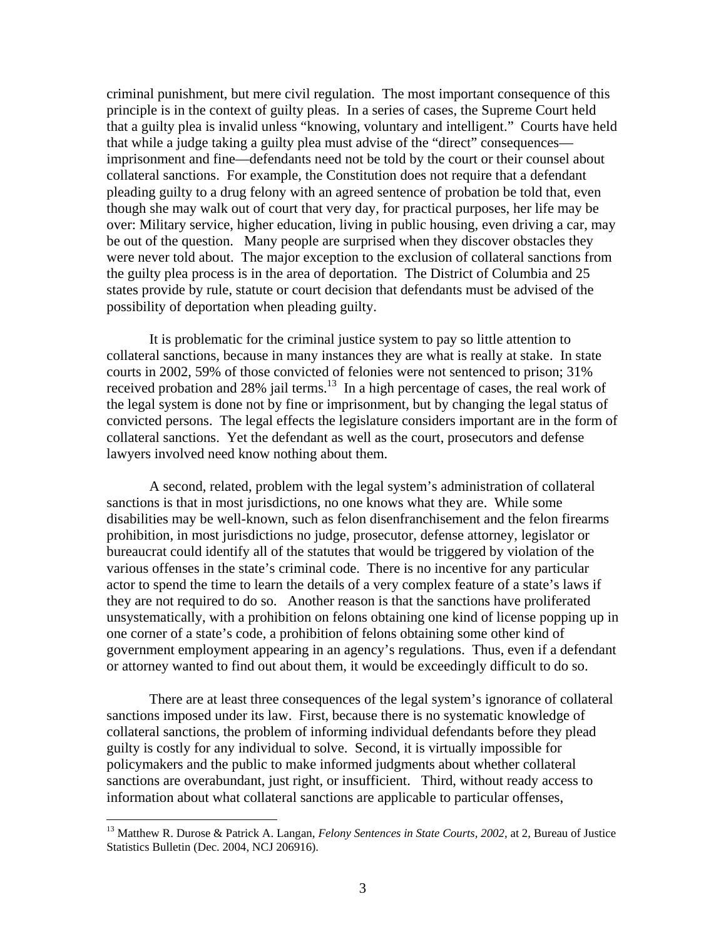criminal punishment, but mere civil regulation. The most important consequence of this principle is in the context of guilty pleas. In a series of cases, the Supreme Court held that a guilty plea is invalid unless "knowing, voluntary and intelligent." Courts have held that while a judge taking a guilty plea must advise of the "direct" consequences imprisonment and fine—defendants need not be told by the court or their counsel about collateral sanctions. For example, the Constitution does not require that a defendant pleading guilty to a drug felony with an agreed sentence of probation be told that, even though she may walk out of court that very day, for practical purposes, her life may be over: Military service, higher education, living in public housing, even driving a car, may be out of the question. Many people are surprised when they discover obstacles they were never told about. The major exception to the exclusion of collateral sanctions from the guilty plea process is in the area of deportation. The District of Columbia and 25 states provide by rule, statute or court decision that defendants must be advised of the possibility of deportation when pleading guilty.

It is problematic for the criminal justice system to pay so little attention to collateral sanctions, because in many instances they are what is really at stake. In state courts in 2002, 59% of those convicted of felonies were not sentenced to prison; 31% received probation and 28% jail terms.<sup>13</sup> In a high percentage of cases, the real work of the legal system is done not by fine or imprisonment, but by changing the legal status of convicted persons. The legal effects the legislature considers important are in the form of collateral sanctions. Yet the defendant as well as the court, prosecutors and defense lawyers involved need know nothing about them.

A second, related, problem with the legal system's administration of collateral sanctions is that in most jurisdictions, no one knows what they are. While some disabilities may be well-known, such as felon disenfranchisement and the felon firearms prohibition, in most jurisdictions no judge, prosecutor, defense attorney, legislator or bureaucrat could identify all of the statutes that would be triggered by violation of the various offenses in the state's criminal code. There is no incentive for any particular actor to spend the time to learn the details of a very complex feature of a state's laws if they are not required to do so. Another reason is that the sanctions have proliferated unsystematically, with a prohibition on felons obtaining one kind of license popping up in one corner of a state's code, a prohibition of felons obtaining some other kind of government employment appearing in an agency's regulations. Thus, even if a defendant or attorney wanted to find out about them, it would be exceedingly difficult to do so.

There are at least three consequences of the legal system's ignorance of collateral sanctions imposed under its law. First, because there is no systematic knowledge of collateral sanctions, the problem of informing individual defendants before they plead guilty is costly for any individual to solve. Second, it is virtually impossible for policymakers and the public to make informed judgments about whether collateral sanctions are overabundant, just right, or insufficient. Third, without ready access to information about what collateral sanctions are applicable to particular offenses,

<span id="page-3-0"></span><sup>13</sup> Matthew R. Durose & Patrick A. Langan, *Felony Sentences in State Courts, 2002*, at 2, Bureau of Justice Statistics Bulletin (Dec. 2004, NCJ 206916).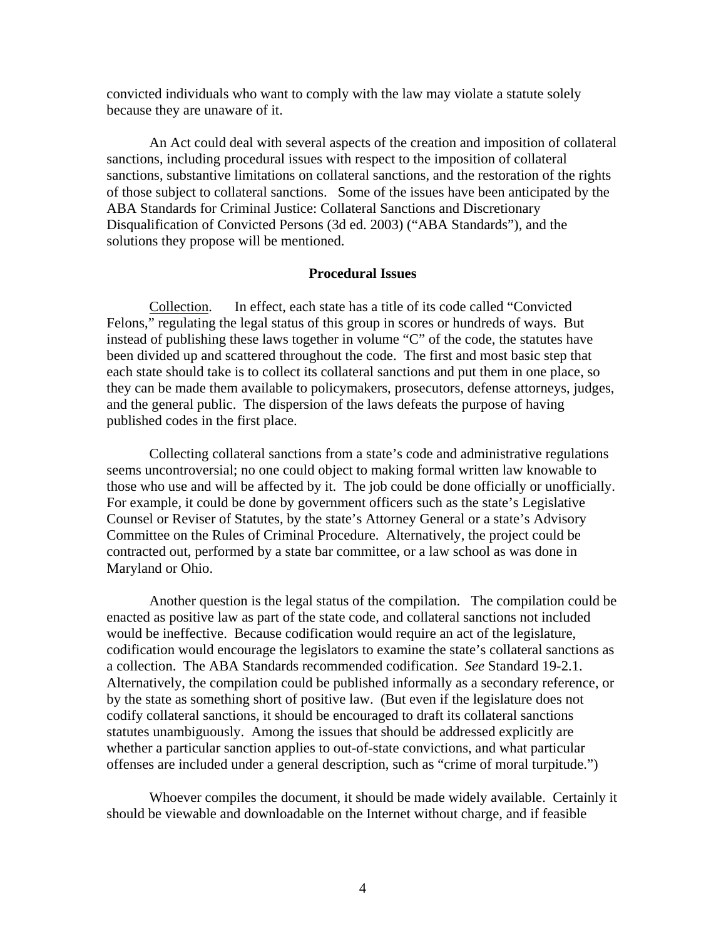convicted individuals who want to comply with the law may violate a statute solely because they are unaware of it.

An Act could deal with several aspects of the creation and imposition of collateral sanctions, including procedural issues with respect to the imposition of collateral sanctions, substantive limitations on collateral sanctions, and the restoration of the rights of those subject to collateral sanctions. Some of the issues have been anticipated by the ABA Standards for Criminal Justice: Collateral Sanctions and Discretionary Disqualification of Convicted Persons (3d ed. 2003) ("ABA Standards"), and the solutions they propose will be mentioned.

#### **Procedural Issues**

Collection. In effect, each state has a title of its code called "Convicted Felons," regulating the legal status of this group in scores or hundreds of ways. But instead of publishing these laws together in volume "C" of the code, the statutes have been divided up and scattered throughout the code. The first and most basic step that each state should take is to collect its collateral sanctions and put them in one place, so they can be made them available to policymakers, prosecutors, defense attorneys, judges, and the general public. The dispersion of the laws defeats the purpose of having published codes in the first place.

Collecting collateral sanctions from a state's code and administrative regulations seems uncontroversial; no one could object to making formal written law knowable to those who use and will be affected by it. The job could be done officially or unofficially. For example, it could be done by government officers such as the state's Legislative Counsel or Reviser of Statutes, by the state's Attorney General or a state's Advisory Committee on the Rules of Criminal Procedure. Alternatively, the project could be contracted out, performed by a state bar committee, or a law school as was done in Maryland or Ohio.

Another question is the legal status of the compilation. The compilation could be enacted as positive law as part of the state code, and collateral sanctions not included would be ineffective. Because codification would require an act of the legislature, codification would encourage the legislators to examine the state's collateral sanctions as a collection. The ABA Standards recommended codification. *See* Standard 19-2.1. Alternatively, the compilation could be published informally as a secondary reference, or by the state as something short of positive law. (But even if the legislature does not codify collateral sanctions, it should be encouraged to draft its collateral sanctions statutes unambiguously. Among the issues that should be addressed explicitly are whether a particular sanction applies to out-of-state convictions, and what particular offenses are included under a general description, such as "crime of moral turpitude.")

Whoever compiles the document, it should be made widely available. Certainly it should be viewable and downloadable on the Internet without charge, and if feasible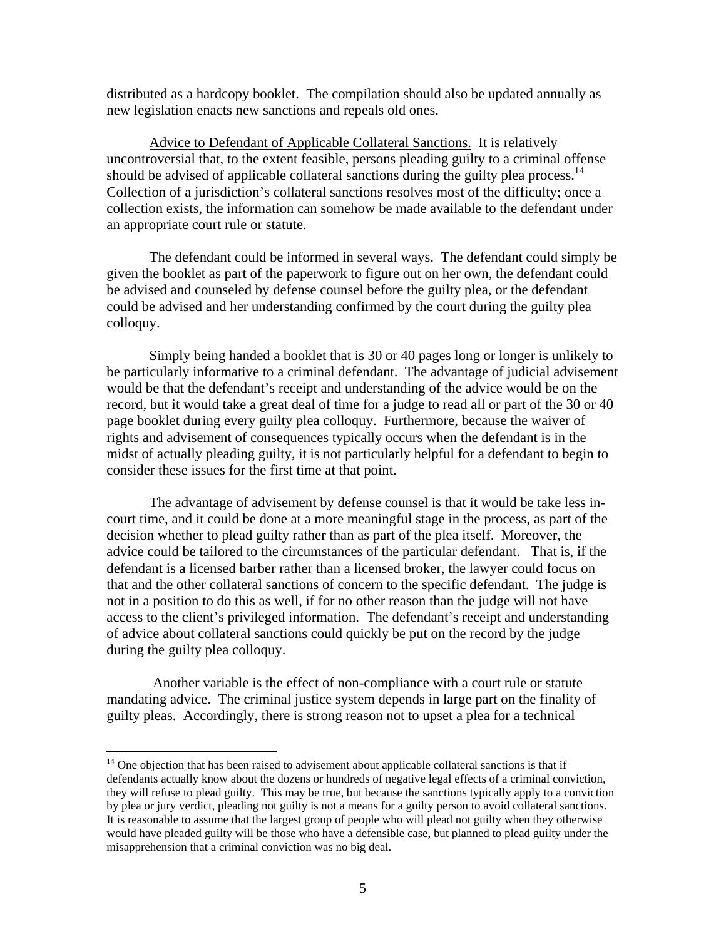distributed as a hardcopy booklet. The compilation should also be updated annually as new legislation enacts new sanctions and repeals old ones.

Advice to Defendant of Applicable Collateral Sanctions. It is relatively uncontroversial that, to the extent feasible, persons pleading guilty to a criminal offense should be advised of applicable collateral sanctions during the guilty plea process.<sup>14</sup> Collection of a jurisdiction's collateral sanctions resolves most of the difficulty; once a collection exists, the information can somehow be made available to the defendant under an appropriate court rule or statute.

The defendant could be informed in several ways. The defendant could simply be given the booklet as part of the paperwork to figure out on her own, the defendant could be advised and counseled by defense counsel before the guilty plea, or the defendant could be advised and her understanding confirmed by the court during the guilty plea colloquy.

Simply being handed a booklet that is 30 or 40 pages long or longer is unlikely to be particularly informative to a criminal defendant. The advantage of judicial advisement would be that the defendant's receipt and understanding of the advice would be on the record, but it would take a great deal of time for a judge to read all or part of the 30 or 40 page booklet during every guilty plea colloquy. Furthermore, because the waiver of rights and advisement of consequences typically occurs when the defendant is in the midst of actually pleading guilty, it is not particularly helpful for a defendant to begin to consider these issues for the first time at that point.

The advantage of advisement by defense counsel is that it would be take less incourt time, and it could be done at a more meaningful stage in the process, as part of the decision whether to plead guilty rather than as part of the plea itself. Moreover, the advice could be tailored to the circumstances of the particular defendant. That is, if the defendant is a licensed barber rather than a licensed broker, the lawyer could focus on that and the other collateral sanctions of concern to the specific defendant. The judge is not in a position to do this as well, if for no other reason than the judge will not have access to the client's privileged information. The defendant's receipt and understanding of advice about collateral sanctions could quickly be put on the record by the judge during the guilty plea colloquy.

 Another variable is the effect of non-compliance with a court rule or statute mandating advice. The criminal justice system depends in large part on the finality of guilty pleas. Accordingly, there is strong reason not to upset a plea for a technical

 $\overline{a}$ 

<span id="page-5-0"></span> $14$  One objection that has been raised to advisement about applicable collateral sanctions is that if defendants actually know about the dozens or hundreds of negative legal effects of a criminal conviction, they will refuse to plead guilty. This may be true, but because the sanctions typically apply to a conviction by plea or jury verdict, pleading not guilty is not a means for a guilty person to avoid collateral sanctions. It is reasonable to assume that the largest group of people who will plead not guilty when they otherwise would have pleaded guilty will be those who have a defensible case, but planned to plead guilty under the misapprehension that a criminal conviction was no big deal.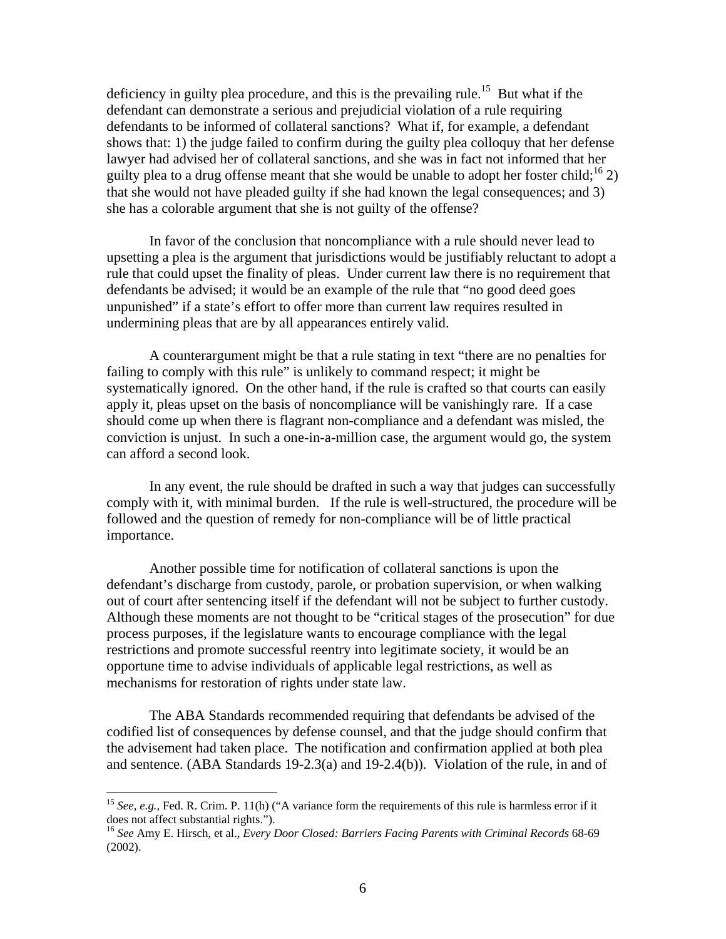deficiency in guilty plea procedure, and this is the prevailing rule.<sup>15</sup> But what if the defendant can demonstrate a serious and prejudicial violation of a rule requiring defendants to be informed of collateral sanctions? What if, for example, a defendant shows that: 1) the judge failed to confirm during the guilty plea colloquy that her defense lawyer had advised her of collateral sanctions, and she was in fact not informed that her guilty plea to a drug offense meant that she would be unable to adopt her foster child;<sup>16</sup> 2) that she would not have pleaded guilty if she had known the legal consequences; and 3) she has a colorable argument that she is not guilty of the offense?

In favor of the conclusion that noncompliance with a rule should never lead to upsetting a plea is the argument that jurisdictions would be justifiably reluctant to adopt a rule that could upset the finality of pleas. Under current law there is no requirement that defendants be advised; it would be an example of the rule that "no good deed goes unpunished" if a state's effort to offer more than current law requires resulted in undermining pleas that are by all appearances entirely valid.

A counterargument might be that a rule stating in text "there are no penalties for failing to comply with this rule" is unlikely to command respect; it might be systematically ignored. On the other hand, if the rule is crafted so that courts can easily apply it, pleas upset on the basis of noncompliance will be vanishingly rare. If a case should come up when there is flagrant non-compliance and a defendant was misled, the conviction is unjust. In such a one-in-a-million case, the argument would go, the system can afford a second look.

In any event, the rule should be drafted in such a way that judges can successfully comply with it, with minimal burden. If the rule is well-structured, the procedure will be followed and the question of remedy for non-compliance will be of little practical importance.

Another possible time for notification of collateral sanctions is upon the defendant's discharge from custody, parole, or probation supervision, or when walking out of court after sentencing itself if the defendant will not be subject to further custody. Although these moments are not thought to be "critical stages of the prosecution" for due process purposes, if the legislature wants to encourage compliance with the legal restrictions and promote successful reentry into legitimate society, it would be an opportune time to advise individuals of applicable legal restrictions, as well as mechanisms for restoration of rights under state law.

The ABA Standards recommended requiring that defendants be advised of the codified list of consequences by defense counsel, and that the judge should confirm that the advisement had taken place. The notification and confirmation applied at both plea and sentence. (ABA Standards 19-2.3(a) and 19-2.4(b)). Violation of the rule, in and of

<u>.</u>

<span id="page-6-0"></span><sup>&</sup>lt;sup>15</sup> *See, e.g.,* Fed. R. Crim. P. 11(h) ("A variance form the requirements of this rule is harmless error if it does not affect substantial rights.").<br><sup>16</sup> *See* Amy E. Hirsch, et al., *Every Door Closed: Barriers Facing Parents with Criminal Records* 68-69

<span id="page-6-1"></span><sup>(2002).</sup>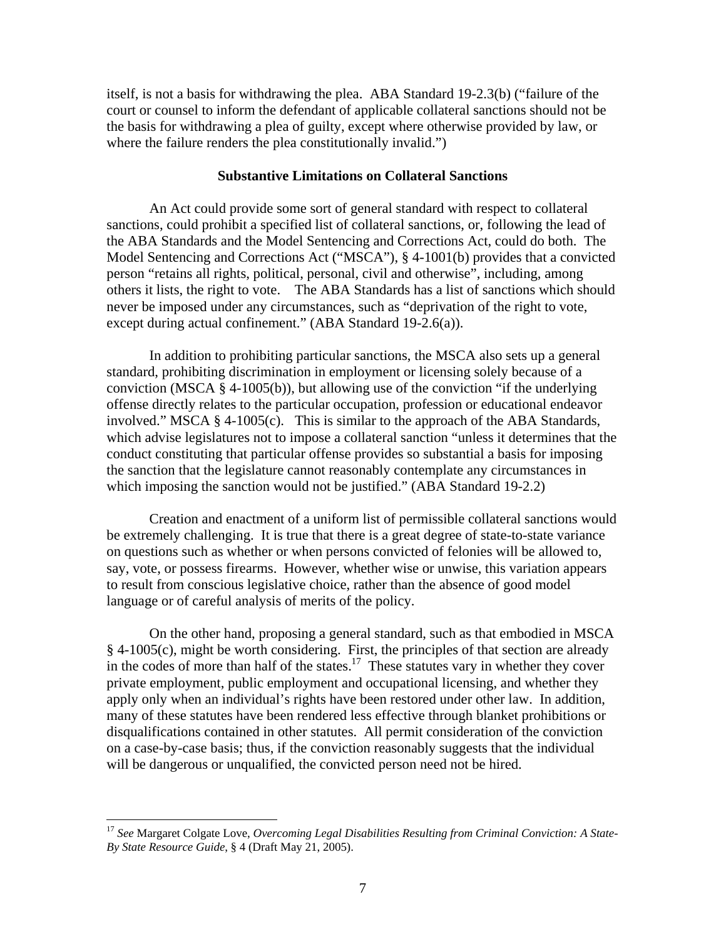itself, is not a basis for withdrawing the plea. ABA Standard 19-2.3(b) ("failure of the court or counsel to inform the defendant of applicable collateral sanctions should not be the basis for withdrawing a plea of guilty, except where otherwise provided by law, or where the failure renders the plea constitutionally invalid.")

#### **Substantive Limitations on Collateral Sanctions**

An Act could provide some sort of general standard with respect to collateral sanctions, could prohibit a specified list of collateral sanctions, or, following the lead of the ABA Standards and the Model Sentencing and Corrections Act, could do both. The Model Sentencing and Corrections Act ("MSCA"), § 4-1001(b) provides that a convicted person "retains all rights, political, personal, civil and otherwise", including, among others it lists, the right to vote. The ABA Standards has a list of sanctions which should never be imposed under any circumstances, such as "deprivation of the right to vote, except during actual confinement." (ABA Standard 19-2.6(a)).

In addition to prohibiting particular sanctions, the MSCA also sets up a general standard, prohibiting discrimination in employment or licensing solely because of a conviction (MSCA § 4-1005(b)), but allowing use of the conviction "if the underlying offense directly relates to the particular occupation, profession or educational endeavor involved." MSCA § 4-1005(c). This is similar to the approach of the ABA Standards, which advise legislatures not to impose a collateral sanction "unless it determines that the conduct constituting that particular offense provides so substantial a basis for imposing the sanction that the legislature cannot reasonably contemplate any circumstances in which imposing the sanction would not be justified." (ABA Standard 19-2.2)

Creation and enactment of a uniform list of permissible collateral sanctions would be extremely challenging. It is true that there is a great degree of state-to-state variance on questions such as whether or when persons convicted of felonies will be allowed to, say, vote, or possess firearms. However, whether wise or unwise, this variation appears to result from conscious legislative choice, rather than the absence of good model language or of careful analysis of merits of the policy.

On the other hand, proposing a general standard, such as that embodied in MSCA § 4-1005(c), might be worth considering. First, the principles of that section are already in the codes of more than half of the states.<sup>17</sup> These statutes vary in whether they cover private employment, public employment and occupational licensing, and whether they apply only when an individual's rights have been restored under other law. In addition, many of these statutes have been rendered less effective through blanket prohibitions or disqualifications contained in other statutes. All permit consideration of the conviction on a case-by-case basis; thus, if the conviction reasonably suggests that the individual will be dangerous or unqualified, the convicted person need not be hired.

<span id="page-7-0"></span><sup>17</sup> *See* Margaret Colgate Love, *Overcoming Legal Disabilities Resulting from Criminal Conviction: A State-By State Resource Guide*, § 4 (Draft May 21, 2005).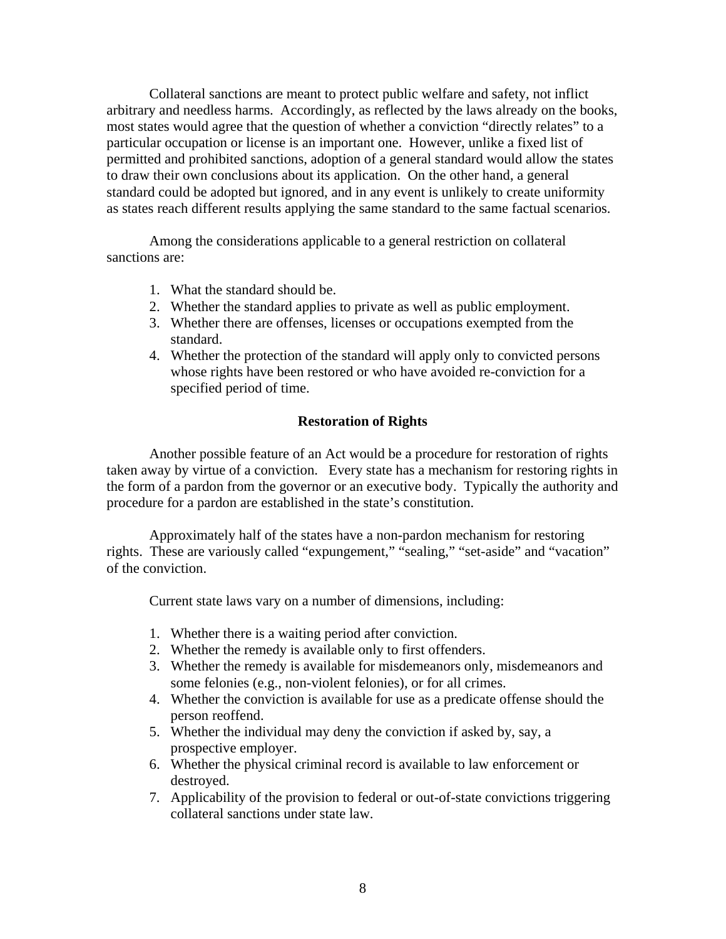Collateral sanctions are meant to protect public welfare and safety, not inflict arbitrary and needless harms. Accordingly, as reflected by the laws already on the books, most states would agree that the question of whether a conviction "directly relates" to a particular occupation or license is an important one. However, unlike a fixed list of permitted and prohibited sanctions, adoption of a general standard would allow the states to draw their own conclusions about its application. On the other hand, a general standard could be adopted but ignored, and in any event is unlikely to create uniformity as states reach different results applying the same standard to the same factual scenarios.

Among the considerations applicable to a general restriction on collateral sanctions are:

- 1. What the standard should be.
- 2. Whether the standard applies to private as well as public employment.
- 3. Whether there are offenses, licenses or occupations exempted from the standard.
- 4. Whether the protection of the standard will apply only to convicted persons whose rights have been restored or who have avoided re-conviction for a specified period of time.

#### **Restoration of Rights**

Another possible feature of an Act would be a procedure for restoration of rights taken away by virtue of a conviction. Every state has a mechanism for restoring rights in the form of a pardon from the governor or an executive body. Typically the authority and procedure for a pardon are established in the state's constitution.

Approximately half of the states have a non-pardon mechanism for restoring rights. These are variously called "expungement," "sealing," "set-aside" and "vacation" of the conviction.

Current state laws vary on a number of dimensions, including:

- 1. Whether there is a waiting period after conviction.
- 2. Whether the remedy is available only to first offenders.
- 3. Whether the remedy is available for misdemeanors only, misdemeanors and some felonies (e.g., non-violent felonies), or for all crimes.
- 4. Whether the conviction is available for use as a predicate offense should the person reoffend.
- 5. Whether the individual may deny the conviction if asked by, say, a prospective employer.
- 6. Whether the physical criminal record is available to law enforcement or destroyed.
- 7. Applicability of the provision to federal or out-of-state convictions triggering collateral sanctions under state law.